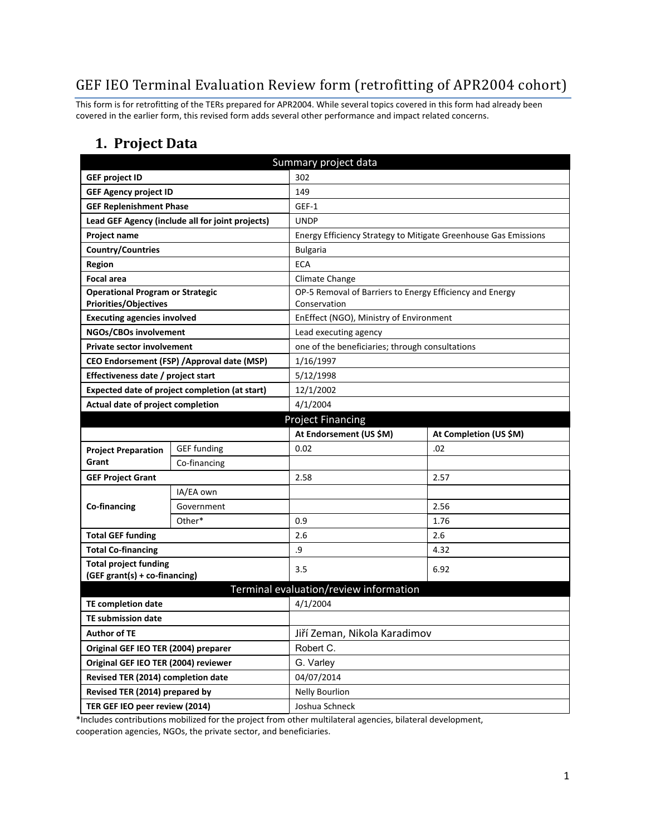# GEF IEO Terminal Evaluation Review form (retrofitting of APR2004 cohort)

This form is for retrofitting of the TERs prepared for APR2004. While several topics covered in this form had already been covered in the earlier form, this revised form adds several other performance and impact related concerns.

### **1. Project Data**

| Summary project data                           |                                                  |                                                          |                                                                 |  |  |
|------------------------------------------------|--------------------------------------------------|----------------------------------------------------------|-----------------------------------------------------------------|--|--|
| <b>GEF project ID</b>                          |                                                  | 302                                                      |                                                                 |  |  |
| <b>GEF Agency project ID</b>                   |                                                  | 149                                                      |                                                                 |  |  |
| <b>GEF Replenishment Phase</b>                 |                                                  | GEF-1                                                    |                                                                 |  |  |
|                                                | Lead GEF Agency (include all for joint projects) | <b>UNDP</b>                                              |                                                                 |  |  |
| Project name                                   |                                                  |                                                          | Energy Efficiency Strategy to Mitigate Greenhouse Gas Emissions |  |  |
| <b>Country/Countries</b>                       |                                                  | <b>Bulgaria</b>                                          |                                                                 |  |  |
| Region                                         |                                                  | <b>ECA</b>                                               |                                                                 |  |  |
| <b>Focal area</b>                              |                                                  | Climate Change                                           |                                                                 |  |  |
| <b>Operational Program or Strategic</b>        |                                                  | OP-5 Removal of Barriers to Energy Efficiency and Energy |                                                                 |  |  |
| <b>Priorities/Objectives</b>                   |                                                  | Conservation                                             |                                                                 |  |  |
| <b>Executing agencies involved</b>             |                                                  | EnEffect (NGO), Ministry of Environment                  |                                                                 |  |  |
| NGOs/CBOs involvement                          |                                                  | Lead executing agency                                    |                                                                 |  |  |
| <b>Private sector involvement</b>              |                                                  | one of the beneficiaries; through consultations          |                                                                 |  |  |
| CEO Endorsement (FSP) / Approval date (MSP)    |                                                  | 1/16/1997                                                |                                                                 |  |  |
| Effectiveness date / project start             |                                                  | 5/12/1998                                                |                                                                 |  |  |
| Expected date of project completion (at start) |                                                  | 12/1/2002                                                |                                                                 |  |  |
| Actual date of project completion              |                                                  | 4/1/2004                                                 |                                                                 |  |  |
|                                                |                                                  | <b>Project Financing</b>                                 |                                                                 |  |  |
|                                                |                                                  | At Endorsement (US \$M)                                  | At Completion (US \$M)                                          |  |  |
| <b>Project Preparation</b>                     | <b>GEF</b> funding                               | 0.02                                                     | .02                                                             |  |  |
| Grant                                          | Co-financing                                     |                                                          |                                                                 |  |  |
| <b>GEF Project Grant</b>                       |                                                  | 2.58                                                     | 2.57                                                            |  |  |
|                                                | IA/EA own                                        |                                                          |                                                                 |  |  |
| Co-financing                                   | Government                                       |                                                          | 2.56                                                            |  |  |
|                                                | Other*                                           | 0.9                                                      | 1.76                                                            |  |  |
| <b>Total GEF funding</b>                       |                                                  | 2.6                                                      | 2.6                                                             |  |  |
| <b>Total Co-financing</b>                      |                                                  | .9                                                       | 4.32                                                            |  |  |
| <b>Total project funding</b>                   |                                                  | 3.5                                                      | 6.92                                                            |  |  |
| (GEF grant(s) + co-financing)                  |                                                  |                                                          |                                                                 |  |  |
|                                                |                                                  | Terminal evaluation/review information                   |                                                                 |  |  |
| <b>TE completion date</b>                      |                                                  | 4/1/2004                                                 |                                                                 |  |  |
| <b>TE submission date</b>                      |                                                  |                                                          |                                                                 |  |  |
| <b>Author of TE</b>                            |                                                  | Jiří Zeman, Nikola Karadimov                             |                                                                 |  |  |
| Original GEF IEO TER (2004) preparer           |                                                  | Robert C.                                                |                                                                 |  |  |
| Original GEF IEO TER (2004) reviewer           |                                                  | G. Varley                                                |                                                                 |  |  |
| Revised TER (2014) completion date             |                                                  | 04/07/2014                                               |                                                                 |  |  |
| Revised TER (2014) prepared by                 |                                                  | <b>Nelly Bourlion</b>                                    |                                                                 |  |  |
| TER GEF IEO peer review (2014)                 |                                                  | Joshua Schneck                                           |                                                                 |  |  |

\*Includes contributions mobilized for the project from other multilateral agencies, bilateral development, cooperation agencies, NGOs, the private sector, and beneficiaries.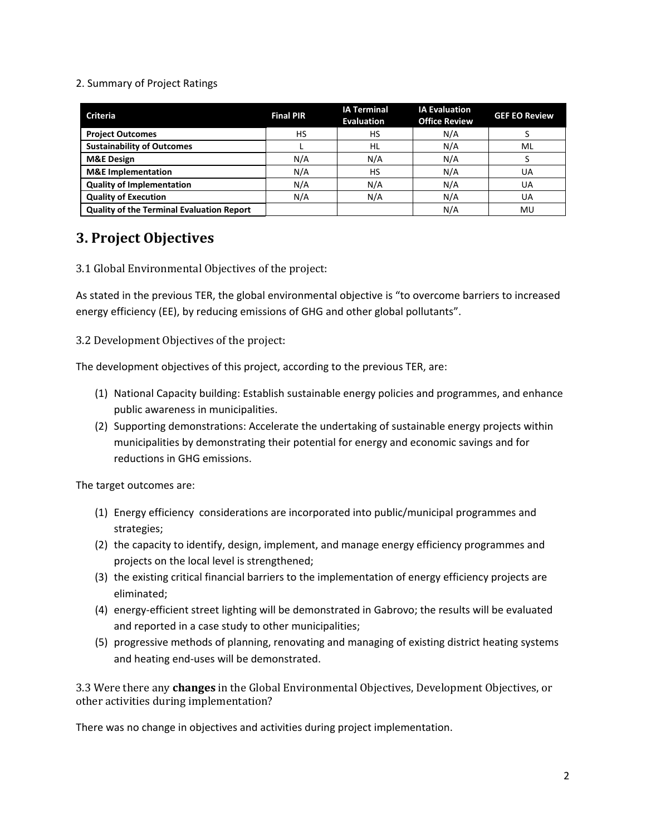#### 2. Summary of Project Ratings

| <b>Criteria</b>                                  | <b>Final PIR</b> | <b>IA Terminal</b><br><b>Evaluation</b> | <b>IA Evaluation</b><br><b>Office Review</b> | <b>GEF EO Review</b> |
|--------------------------------------------------|------------------|-----------------------------------------|----------------------------------------------|----------------------|
| <b>Project Outcomes</b>                          | НS               | HS                                      | N/A                                          |                      |
| <b>Sustainability of Outcomes</b>                |                  | HL                                      | N/A                                          | ML                   |
| <b>M&amp;E Design</b>                            | N/A              | N/A                                     | N/A                                          |                      |
| <b>M&amp;E</b> Implementation                    | N/A              | HS                                      | N/A                                          | UA                   |
| <b>Quality of Implementation</b>                 | N/A              | N/A                                     | N/A                                          | UA                   |
| <b>Quality of Execution</b>                      | N/A              | N/A                                     | N/A                                          | UA                   |
| <b>Quality of the Terminal Evaluation Report</b> |                  |                                         | N/A                                          | MU                   |

# **3. Project Objectives**

3.1 Global Environmental Objectives of the project:

As stated in the previous TER, the global environmental objective is "to overcome barriers to increased energy efficiency (EE), by reducing emissions of GHG and other global pollutants".

3.2 Development Objectives of the project:

The development objectives of this project, according to the previous TER, are:

- (1) National Capacity building: Establish sustainable energy policies and programmes, and enhance public awareness in municipalities.
- (2) Supporting demonstrations: Accelerate the undertaking of sustainable energy projects within municipalities by demonstrating their potential for energy and economic savings and for reductions in GHG emissions.

The target outcomes are:

- (1) Energy efficiency considerations are incorporated into public/municipal programmes and strategies;
- (2) the capacity to identify, design, implement, and manage energy efficiency programmes and projects on the local level is strengthened;
- (3) the existing critical financial barriers to the implementation of energy efficiency projects are eliminated;
- (4) energy-efficient street lighting will be demonstrated in Gabrovo; the results will be evaluated and reported in a case study to other municipalities;
- (5) progressive methods of planning, renovating and managing of existing district heating systems and heating end-uses will be demonstrated.

3.3 Were there any **changes** in the Global Environmental Objectives, Development Objectives, or other activities during implementation?

There was no change in objectives and activities during project implementation.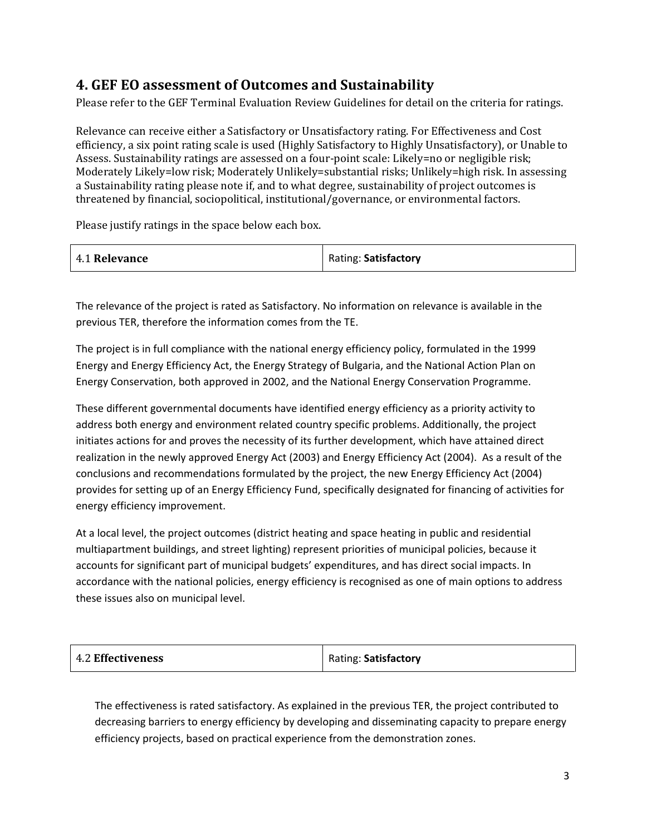# **4. GEF EO assessment of Outcomes and Sustainability**

Please refer to the GEF Terminal Evaluation Review Guidelines for detail on the criteria for ratings.

Relevance can receive either a Satisfactory or Unsatisfactory rating. For Effectiveness and Cost efficiency, a six point rating scale is used (Highly Satisfactory to Highly Unsatisfactory), or Unable to Assess. Sustainability ratings are assessed on a four-point scale: Likely=no or negligible risk; Moderately Likely=low risk; Moderately Unlikely=substantial risks; Unlikely=high risk. In assessing a Sustainability rating please note if, and to what degree, sustainability of project outcomes is threatened by financial, sociopolitical, institutional/governance, or environmental factors.

Please justify ratings in the space below each box.

|  | 4.1 Relevance | Rating: Satisfactory |
|--|---------------|----------------------|
|--|---------------|----------------------|

The relevance of the project is rated as Satisfactory. No information on relevance is available in the previous TER, therefore the information comes from the TE.

The project is in full compliance with the national energy efficiency policy, formulated in the 1999 Energy and Energy Efficiency Act, the Energy Strategy of Bulgaria, and the National Action Plan on Energy Conservation, both approved in 2002, and the National Energy Conservation Programme.

These different governmental documents have identified energy efficiency as a priority activity to address both energy and environment related country specific problems. Additionally, the project initiates actions for and proves the necessity of its further development, which have attained direct realization in the newly approved Energy Act (2003) and Energy Efficiency Act (2004). As a result of the conclusions and recommendations formulated by the project, the new Energy Efficiency Act (2004) provides for setting up of an Energy Efficiency Fund, specifically designated for financing of activities for energy efficiency improvement.

At a local level, the project outcomes (district heating and space heating in public and residential multiapartment buildings, and street lighting) represent priorities of municipal policies, because it accounts for significant part of municipal budgets' expenditures, and has direct social impacts. In accordance with the national policies, energy efficiency is recognised as one of main options to address these issues also on municipal level.

| <b>4.2 Effectiveness</b> | Rating: Satisfactory |
|--------------------------|----------------------|
|--------------------------|----------------------|

The effectiveness is rated satisfactory. As explained in the previous TER, the project contributed to decreasing barriers to energy efficiency by developing and disseminating capacity to prepare energy efficiency projects, based on practical experience from the demonstration zones.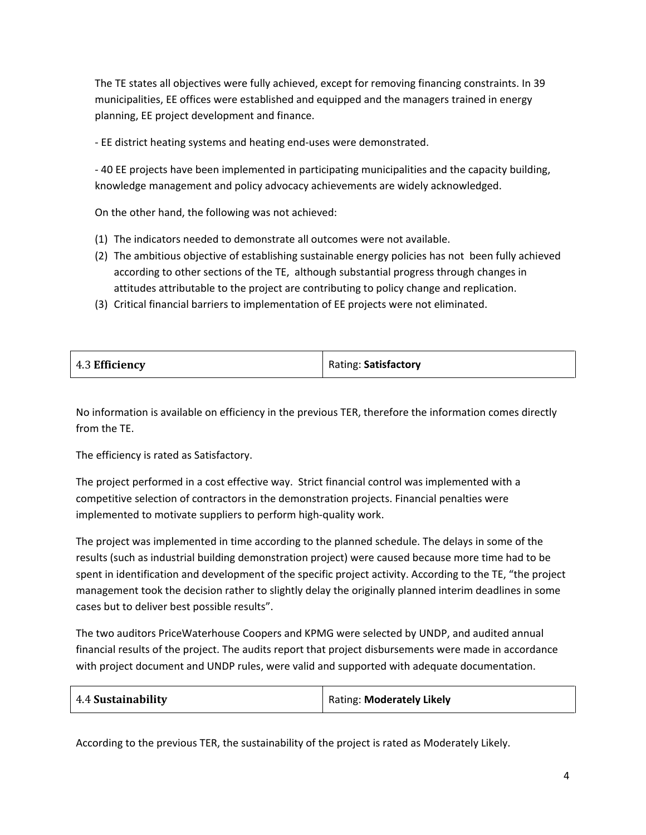The TE states all objectives were fully achieved, except for removing financing constraints. In 39 municipalities, EE offices were established and equipped and the managers trained in energy planning, EE project development and finance.

- EE district heating systems and heating end-uses were demonstrated.

- 40 EE projects have been implemented in participating municipalities and the capacity building, knowledge management and policy advocacy achievements are widely acknowledged.

On the other hand, the following was not achieved:

- (1) The indicators needed to demonstrate all outcomes were not available.
- (2) The ambitious objective of establishing sustainable energy policies has not been fully achieved according to other sections of the TE, although substantial progress through changes in attitudes attributable to the project are contributing to policy change and replication.
- (3) Critical financial barriers to implementation of EE projects were not eliminated.

| 4.3 Efficiency | Rating: Satisfactory |
|----------------|----------------------|
|----------------|----------------------|

No information is available on efficiency in the previous TER, therefore the information comes directly from the TE.

The efficiency is rated as Satisfactory.

The project performed in a cost effective way. Strict financial control was implemented with a competitive selection of contractors in the demonstration projects. Financial penalties were implemented to motivate suppliers to perform high-quality work.

The project was implemented in time according to the planned schedule. The delays in some of the results (such as industrial building demonstration project) were caused because more time had to be spent in identification and development of the specific project activity. According to the TE, "the project management took the decision rather to slightly delay the originally planned interim deadlines in some cases but to deliver best possible results".

The two auditors PriceWaterhouse Coopers and KPMG were selected by UNDP, and audited annual financial results of the project. The audits report that project disbursements were made in accordance with project document and UNDP rules, were valid and supported with adequate documentation.

| 4.4 Sustainability | Rating: Moderately Likely |
|--------------------|---------------------------|
|--------------------|---------------------------|

According to the previous TER, the sustainability of the project is rated as Moderately Likely.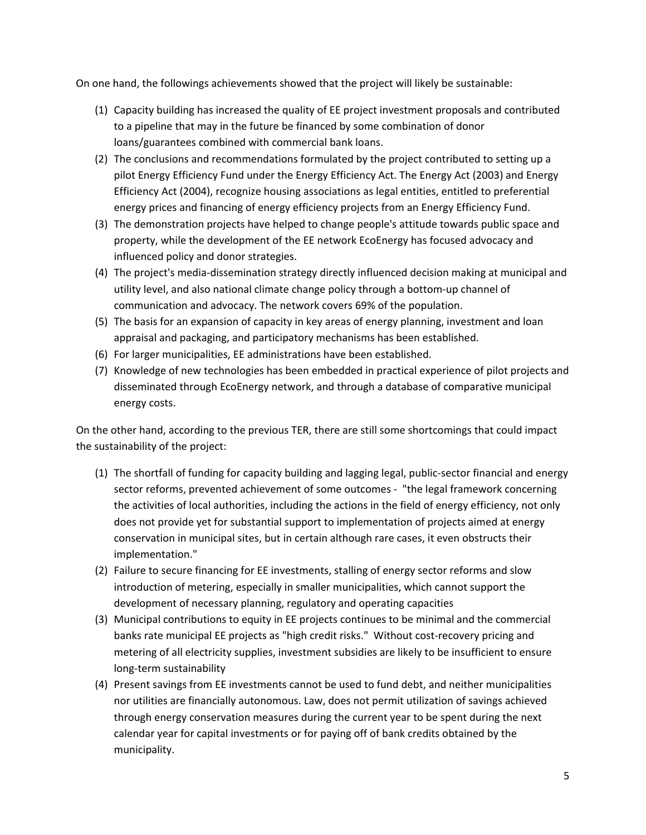On one hand, the followings achievements showed that the project will likely be sustainable:

- (1) Capacity building has increased the quality of EE project investment proposals and contributed to a pipeline that may in the future be financed by some combination of donor loans/guarantees combined with commercial bank loans.
- (2) The conclusions and recommendations formulated by the project contributed to setting up a pilot Energy Efficiency Fund under the Energy Efficiency Act. The Energy Act (2003) and Energy Efficiency Act (2004), recognize housing associations as legal entities, entitled to preferential energy prices and financing of energy efficiency projects from an Energy Efficiency Fund.
- (3) The demonstration projects have helped to change people's attitude towards public space and property, while the development of the EE network EcoEnergy has focused advocacy and influenced policy and donor strategies.
- (4) The project's media-dissemination strategy directly influenced decision making at municipal and utility level, and also national climate change policy through a bottom-up channel of communication and advocacy. The network covers 69% of the population.
- (5) The basis for an expansion of capacity in key areas of energy planning, investment and loan appraisal and packaging, and participatory mechanisms has been established.
- (6) For larger municipalities, EE administrations have been established.
- (7) Knowledge of new technologies has been embedded in practical experience of pilot projects and disseminated through EcoEnergy network, and through a database of comparative municipal energy costs.

On the other hand, according to the previous TER, there are still some shortcomings that could impact the sustainability of the project:

- (1) The shortfall of funding for capacity building and lagging legal, public-sector financial and energy sector reforms, prevented achievement of some outcomes - "the legal framework concerning the activities of local authorities, including the actions in the field of energy efficiency, not only does not provide yet for substantial support to implementation of projects aimed at energy conservation in municipal sites, but in certain although rare cases, it even obstructs their implementation."
- (2) Failure to secure financing for EE investments, stalling of energy sector reforms and slow introduction of metering, especially in smaller municipalities, which cannot support the development of necessary planning, regulatory and operating capacities
- (3) Municipal contributions to equity in EE projects continues to be minimal and the commercial banks rate municipal EE projects as "high credit risks." Without cost-recovery pricing and metering of all electricity supplies, investment subsidies are likely to be insufficient to ensure long-term sustainability
- (4) Present savings from EE investments cannot be used to fund debt, and neither municipalities nor utilities are financially autonomous. Law, does not permit utilization of savings achieved through energy conservation measures during the current year to be spent during the next calendar year for capital investments or for paying off of bank credits obtained by the municipality.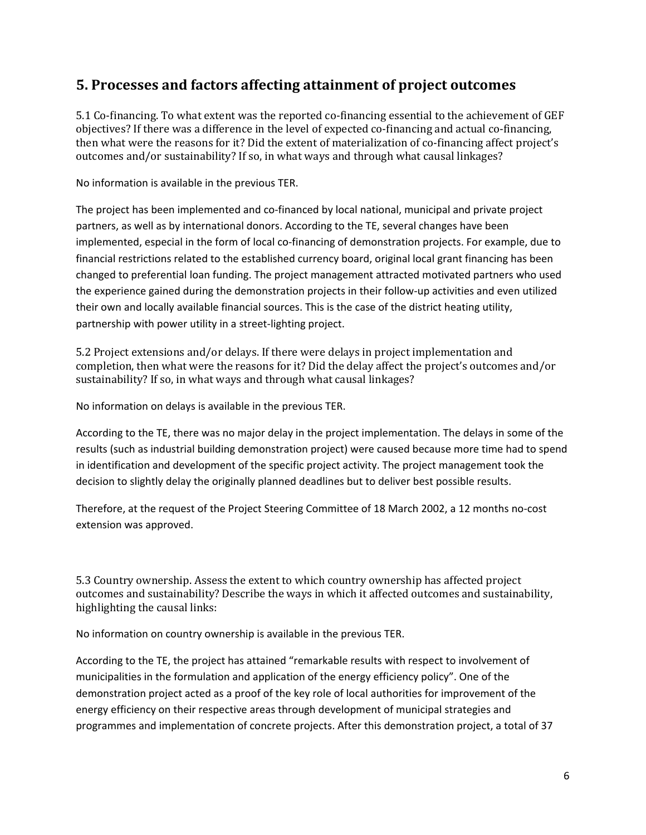## **5. Processes and factors affecting attainment of project outcomes**

5.1 Co-financing. To what extent was the reported co-financing essential to the achievement of GEF objectives? If there was a difference in the level of expected co-financing and actual co-financing, then what were the reasons for it? Did the extent of materialization of co-financing affect project's outcomes and/or sustainability? If so, in what ways and through what causal linkages?

No information is available in the previous TER.

The project has been implemented and co-financed by local national, municipal and private project partners, as well as by international donors. According to the TE, several changes have been implemented, especial in the form of local co-financing of demonstration projects. For example, due to financial restrictions related to the established currency board, original local grant financing has been changed to preferential loan funding. The project management attracted motivated partners who used the experience gained during the demonstration projects in their follow-up activities and even utilized their own and locally available financial sources. This is the case of the district heating utility, partnership with power utility in a street-lighting project.

5.2 Project extensions and/or delays. If there were delays in project implementation and completion, then what were the reasons for it? Did the delay affect the project's outcomes and/or sustainability? If so, in what ways and through what causal linkages?

No information on delays is available in the previous TER.

According to the TE, there was no major delay in the project implementation. The delays in some of the results (such as industrial building demonstration project) were caused because more time had to spend in identification and development of the specific project activity. The project management took the decision to slightly delay the originally planned deadlines but to deliver best possible results.

Therefore, at the request of the Project Steering Committee of 18 March 2002, a 12 months no-cost extension was approved.

5.3 Country ownership. Assess the extent to which country ownership has affected project outcomes and sustainability? Describe the ways in which it affected outcomes and sustainability, highlighting the causal links:

No information on country ownership is available in the previous TER.

According to the TE, the project has attained "remarkable results with respect to involvement of municipalities in the formulation and application of the energy efficiency policy". One of the demonstration project acted as a proof of the key role of local authorities for improvement of the energy efficiency on their respective areas through development of municipal strategies and programmes and implementation of concrete projects. After this demonstration project, a total of 37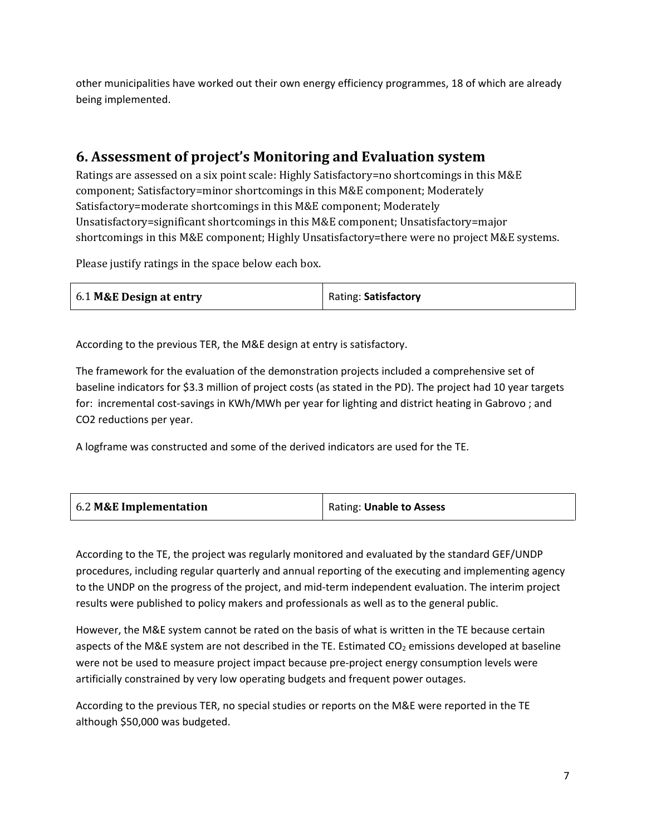other municipalities have worked out their own energy efficiency programmes, 18 of which are already being implemented.

# **6. Assessment of project's Monitoring and Evaluation system**

Ratings are assessed on a six point scale: Highly Satisfactory=no shortcomings in this M&E component; Satisfactory=minor shortcomings in this M&E component; Moderately Satisfactory=moderate shortcomings in this M&E component; Moderately Unsatisfactory=significant shortcomings in this M&E component; Unsatisfactory=major shortcomings in this M&E component; Highly Unsatisfactory=there were no project M&E systems.

Please justify ratings in the space below each box.

| 6.1 M&E Design at entry | Rating: Satisfactory |
|-------------------------|----------------------|
|-------------------------|----------------------|

According to the previous TER, the M&E design at entry is satisfactory.

The framework for the evaluation of the demonstration projects included a comprehensive set of baseline indicators for \$3.3 million of project costs (as stated in the PD). The project had 10 year targets for: incremental cost-savings in KWh/MWh per year for lighting and district heating in Gabrovo ; and CO2 reductions per year.

A logframe was constructed and some of the derived indicators are used for the TE.

| 6.2 M&E Implementation | Rating: Unable to Assess |
|------------------------|--------------------------|
|------------------------|--------------------------|

According to the TE, the project was regularly monitored and evaluated by the standard GEF/UNDP procedures, including regular quarterly and annual reporting of the executing and implementing agency to the UNDP on the progress of the project, and mid-term independent evaluation. The interim project results were published to policy makers and professionals as well as to the general public.

However, the M&E system cannot be rated on the basis of what is written in the TE because certain aspects of the M&E system are not described in the TE. Estimated  $CO<sub>2</sub>$  emissions developed at baseline were not be used to measure project impact because pre-project energy consumption levels were artificially constrained by very low operating budgets and frequent power outages.

According to the previous TER, no special studies or reports on the M&E were reported in the TE although \$50,000 was budgeted.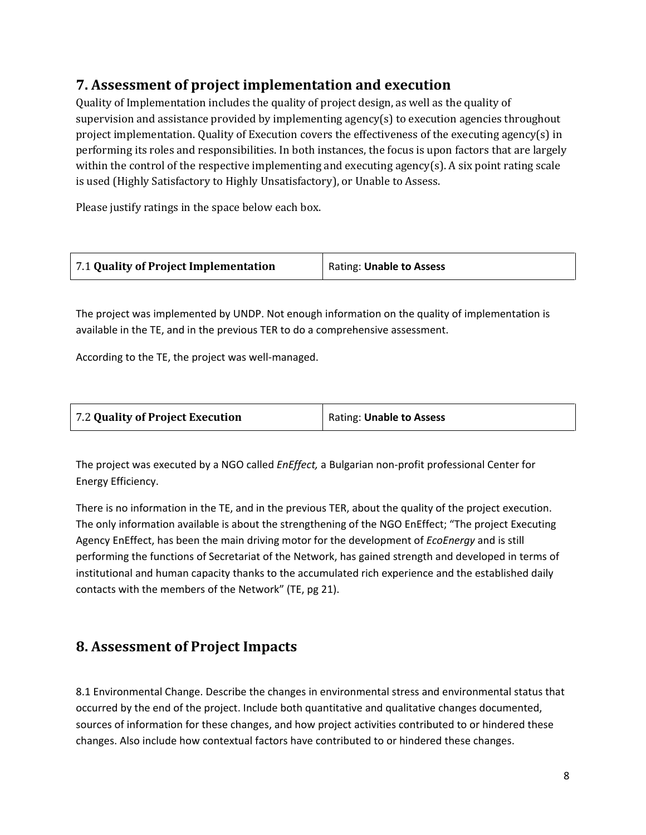# **7. Assessment of project implementation and execution**

Quality of Implementation includes the quality of project design, as well as the quality of supervision and assistance provided by implementing agency(s) to execution agencies throughout project implementation. Quality of Execution covers the effectiveness of the executing agency(s) in performing its roles and responsibilities. In both instances, the focus is upon factors that are largely within the control of the respective implementing and executing agency(s). A six point rating scale is used (Highly Satisfactory to Highly Unsatisfactory), or Unable to Assess.

Please justify ratings in the space below each box.

| 7.1 Quality of Project Implementation | Rating: Unable to Assess |
|---------------------------------------|--------------------------|
|---------------------------------------|--------------------------|

The project was implemented by UNDP. Not enough information on the quality of implementation is available in the TE, and in the previous TER to do a comprehensive assessment.

According to the TE, the project was well-managed.

| 7.2 Quality of Project Execution | Rating: Unable to Assess |
|----------------------------------|--------------------------|
|----------------------------------|--------------------------|

The project was executed by a NGO called *EnEffect,* a Bulgarian non-profit professional Center for Energy Efficiency.

There is no information in the TE, and in the previous TER, about the quality of the project execution. The only information available is about the strengthening of the NGO EnEffect; "The project Executing Agency EnEffect, has been the main driving motor for the development of *EcoEnergy* and is still performing the functions of Secretariat of the Network, has gained strength and developed in terms of institutional and human capacity thanks to the accumulated rich experience and the established daily contacts with the members of the Network" (TE, pg 21).

### **8. Assessment of Project Impacts**

8.1 Environmental Change. Describe the changes in environmental stress and environmental status that occurred by the end of the project. Include both quantitative and qualitative changes documented, sources of information for these changes, and how project activities contributed to or hindered these changes. Also include how contextual factors have contributed to or hindered these changes.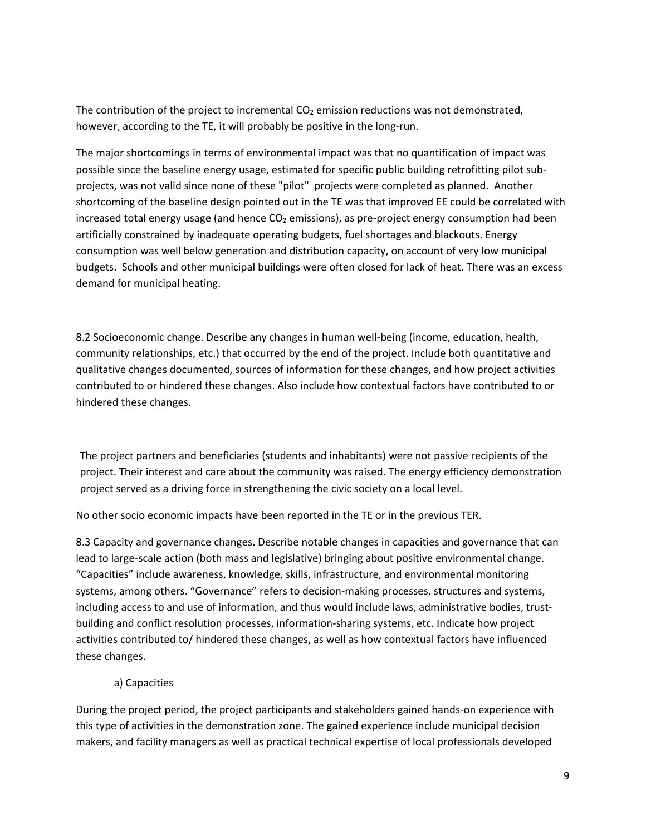The contribution of the project to incremental  $CO<sub>2</sub>$  emission reductions was not demonstrated, however, according to the TE, it will probably be positive in the long-run.

The major shortcomings in terms of environmental impact was that no quantification of impact was possible since the baseline energy usage, estimated for specific public building retrofitting pilot subprojects, was not valid since none of these "pilot" projects were completed as planned. Another shortcoming of the baseline design pointed out in the TE was that improved EE could be correlated with increased total energy usage (and hence  $CO<sub>2</sub>$  emissions), as pre-project energy consumption had been artificially constrained by inadequate operating budgets, fuel shortages and blackouts. Energy consumption was well below generation and distribution capacity, on account of very low municipal budgets. Schools and other municipal buildings were often closed for lack of heat. There was an excess demand for municipal heating.

8.2 Socioeconomic change. Describe any changes in human well-being (income, education, health, community relationships, etc.) that occurred by the end of the project. Include both quantitative and qualitative changes documented, sources of information for these changes, and how project activities contributed to or hindered these changes. Also include how contextual factors have contributed to or hindered these changes.

The project partners and beneficiaries (students and inhabitants) were not passive recipients of the project. Their interest and care about the community was raised. The energy efficiency demonstration project served as a driving force in strengthening the civic society on a local level.

No other socio economic impacts have been reported in the TE or in the previous TER.

8.3 Capacity and governance changes. Describe notable changes in capacities and governance that can lead to large-scale action (both mass and legislative) bringing about positive environmental change. "Capacities" include awareness, knowledge, skills, infrastructure, and environmental monitoring systems, among others. "Governance" refers to decision-making processes, structures and systems, including access to and use of information, and thus would include laws, administrative bodies, trustbuilding and conflict resolution processes, information-sharing systems, etc. Indicate how project activities contributed to/ hindered these changes, as well as how contextual factors have influenced these changes.

#### a) Capacities

During the project period, the project participants and stakeholders gained hands-on experience with this type of activities in the demonstration zone. The gained experience include municipal decision makers, and facility managers as well as practical technical expertise of local professionals developed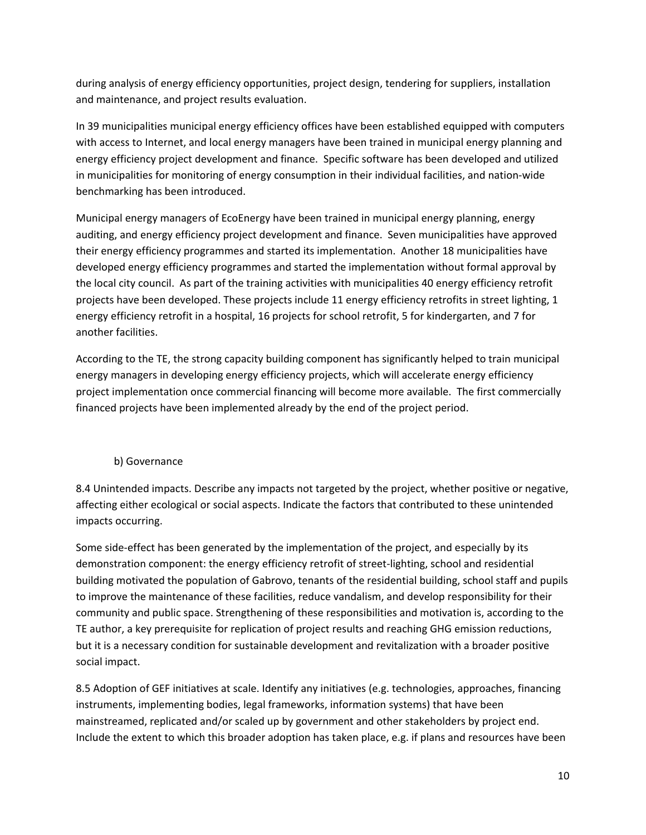during analysis of energy efficiency opportunities, project design, tendering for suppliers, installation and maintenance, and project results evaluation.

In 39 municipalities municipal energy efficiency offices have been established equipped with computers with access to Internet, and local energy managers have been trained in municipal energy planning and energy efficiency project development and finance. Specific software has been developed and utilized in municipalities for monitoring of energy consumption in their individual facilities, and nation-wide benchmarking has been introduced.

Municipal energy managers of EcoEnergy have been trained in municipal energy planning, energy auditing, and energy efficiency project development and finance. Seven municipalities have approved their energy efficiency programmes and started its implementation. Another 18 municipalities have developed energy efficiency programmes and started the implementation without formal approval by the local city council. As part of the training activities with municipalities 40 energy efficiency retrofit projects have been developed. These projects include 11 energy efficiency retrofits in street lighting, 1 energy efficiency retrofit in a hospital, 16 projects for school retrofit, 5 for kindergarten, and 7 for another facilities.

According to the TE, the strong capacity building component has significantly helped to train municipal energy managers in developing energy efficiency projects, which will accelerate energy efficiency project implementation once commercial financing will become more available. The first commercially financed projects have been implemented already by the end of the project period.

### b) Governance

8.4 Unintended impacts. Describe any impacts not targeted by the project, whether positive or negative, affecting either ecological or social aspects. Indicate the factors that contributed to these unintended impacts occurring.

Some side-effect has been generated by the implementation of the project, and especially by its demonstration component: the energy efficiency retrofit of street-lighting, school and residential building motivated the population of Gabrovo, tenants of the residential building, school staff and pupils to improve the maintenance of these facilities, reduce vandalism, and develop responsibility for their community and public space. Strengthening of these responsibilities and motivation is, according to the TE author, a key prerequisite for replication of project results and reaching GHG emission reductions, but it is a necessary condition for sustainable development and revitalization with a broader positive social impact.

8.5 Adoption of GEF initiatives at scale. Identify any initiatives (e.g. technologies, approaches, financing instruments, implementing bodies, legal frameworks, information systems) that have been mainstreamed, replicated and/or scaled up by government and other stakeholders by project end. Include the extent to which this broader adoption has taken place, e.g. if plans and resources have been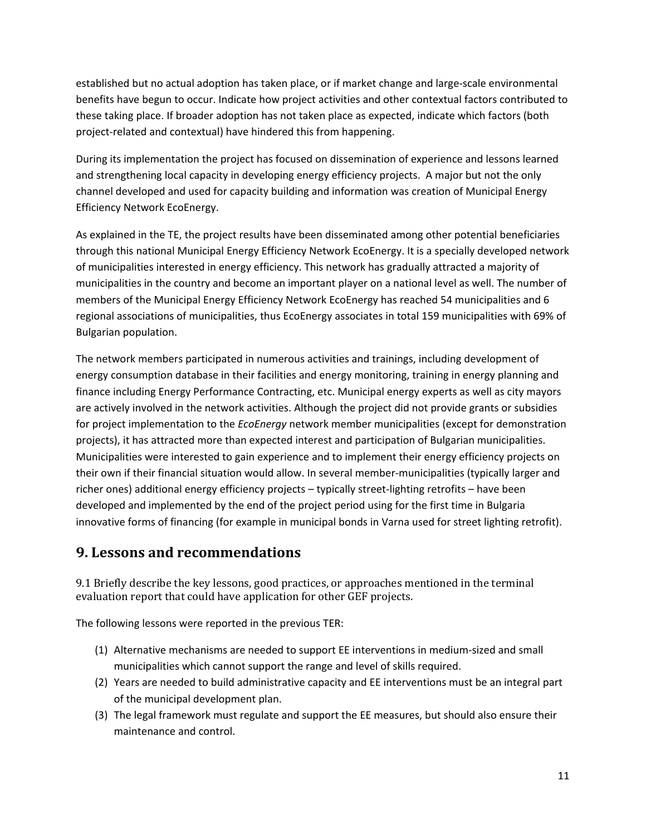established but no actual adoption has taken place, or if market change and large-scale environmental benefits have begun to occur. Indicate how project activities and other contextual factors contributed to these taking place. If broader adoption has not taken place as expected, indicate which factors (both project-related and contextual) have hindered this from happening.

During its implementation the project has focused on dissemination of experience and lessons learned and strengthening local capacity in developing energy efficiency projects. A major but not the only channel developed and used for capacity building and information was creation of Municipal Energy Efficiency Network EcoEnergy.

As explained in the TE, the project results have been disseminated among other potential beneficiaries through this national Municipal Energy Efficiency Network EcoEnergy. It is a specially developed network of municipalities interested in energy efficiency. This network has gradually attracted a majority of municipalities in the country and become an important player on a national level as well. The number of members of the Municipal Energy Efficiency Network EcoEnergy has reached 54 municipalities and 6 regional associations of municipalities, thus EcoEnergy associates in total 159 municipalities with 69% of Bulgarian population.

The network members participated in numerous activities and trainings, including development of energy consumption database in their facilities and energy monitoring, training in energy planning and finance including Energy Performance Contracting, etc. Municipal energy experts as well as city mayors are actively involved in the network activities. Although the project did not provide grants or subsidies for project implementation to the *EcoEnergy* network member municipalities (except for demonstration projects), it has attracted more than expected interest and participation of Bulgarian municipalities. Municipalities were interested to gain experience and to implement their energy efficiency projects on their own if their financial situation would allow. In several member-municipalities (typically larger and richer ones) additional energy efficiency projects – typically street-lighting retrofits – have been developed and implemented by the end of the project period using for the first time in Bulgaria innovative forms of financing (for example in municipal bonds in Varna used for street lighting retrofit).

# **9. Lessons and recommendations**

9.1 Briefly describe the key lessons, good practices, or approaches mentioned in the terminal evaluation report that could have application for other GEF projects.

The following lessons were reported in the previous TER:

- (1) Alternative mechanisms are needed to support EE interventions in medium-sized and small municipalities which cannot support the range and level of skills required.
- (2) Years are needed to build administrative capacity and EE interventions must be an integral part of the municipal development plan.
- (3) The legal framework must regulate and support the EE measures, but should also ensure their maintenance and control.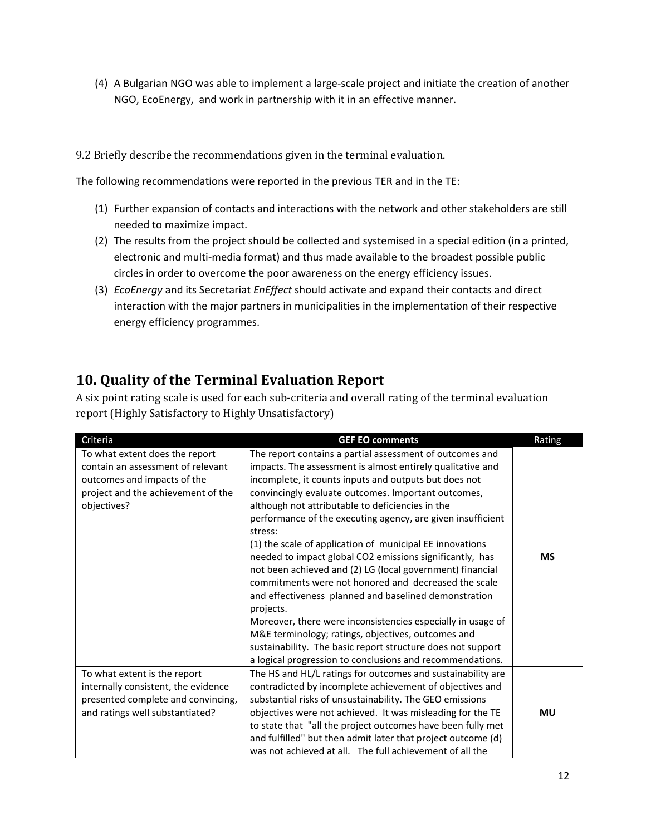(4) A Bulgarian NGO was able to implement a large-scale project and initiate the creation of another NGO, EcoEnergy, and work in partnership with it in an effective manner.

### 9.2 Briefly describe the recommendations given in the terminal evaluation.

The following recommendations were reported in the previous TER and in the TE:

- (1) Further expansion of contacts and interactions with the network and other stakeholders are still needed to maximize impact.
- (2) The results from the project should be collected and systemised in a special edition (in a printed, electronic and multi-media format) and thus made available to the broadest possible public circles in order to overcome the poor awareness on the energy efficiency issues.
- (3) *EcoEnergy* and its Secretariat *EnEffect* should activate and expand their contacts and direct interaction with the major partners in municipalities in the implementation of their respective energy efficiency programmes.

# **10. Quality of the Terminal Evaluation Report**

A six point rating scale is used for each sub-criteria and overall rating of the terminal evaluation report (Highly Satisfactory to Highly Unsatisfactory)

| Criteria                                                                                                                                                | <b>GEF EO comments</b>                                                                                                                                                                                                                                                                                                                                                                                                                                                                                                                                                                                                                                                                                                                                                                                                                                                                                                                   | Rating    |
|---------------------------------------------------------------------------------------------------------------------------------------------------------|------------------------------------------------------------------------------------------------------------------------------------------------------------------------------------------------------------------------------------------------------------------------------------------------------------------------------------------------------------------------------------------------------------------------------------------------------------------------------------------------------------------------------------------------------------------------------------------------------------------------------------------------------------------------------------------------------------------------------------------------------------------------------------------------------------------------------------------------------------------------------------------------------------------------------------------|-----------|
| To what extent does the report<br>contain an assessment of relevant<br>outcomes and impacts of the<br>project and the achievement of the<br>objectives? | The report contains a partial assessment of outcomes and<br>impacts. The assessment is almost entirely qualitative and<br>incomplete, it counts inputs and outputs but does not<br>convincingly evaluate outcomes. Important outcomes,<br>although not attributable to deficiencies in the<br>performance of the executing agency, are given insufficient<br>stress:<br>(1) the scale of application of municipal EE innovations<br>needed to impact global CO2 emissions significantly, has<br>not been achieved and (2) LG (local government) financial<br>commitments were not honored and decreased the scale<br>and effectiveness planned and baselined demonstration<br>projects.<br>Moreover, there were inconsistencies especially in usage of<br>M&E terminology; ratings, objectives, outcomes and<br>sustainability. The basic report structure does not support<br>a logical progression to conclusions and recommendations. | <b>MS</b> |
| To what extent is the report<br>internally consistent, the evidence<br>presented complete and convincing,<br>and ratings well substantiated?            | The HS and HL/L ratings for outcomes and sustainability are<br>contradicted by incomplete achievement of objectives and<br>substantial risks of unsustainability. The GEO emissions<br>objectives were not achieved. It was misleading for the TE<br>to state that "all the project outcomes have been fully met<br>and fulfilled" but then admit later that project outcome (d)<br>was not achieved at all. The full achievement of all the                                                                                                                                                                                                                                                                                                                                                                                                                                                                                             | <b>MU</b> |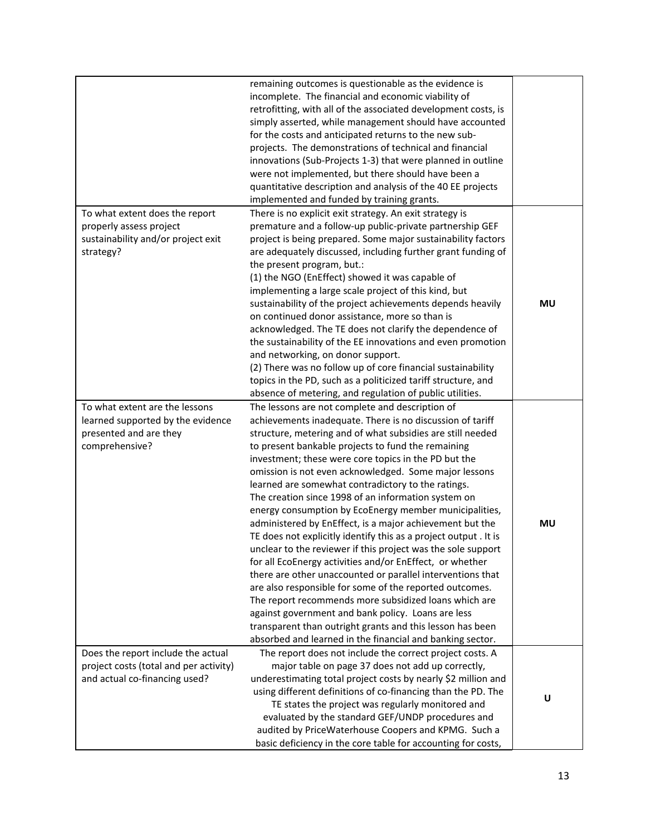|                                                                                                                 | remaining outcomes is questionable as the evidence is<br>incomplete. The financial and economic viability of<br>retrofitting, with all of the associated development costs, is<br>simply asserted, while management should have accounted<br>for the costs and anticipated returns to the new sub-<br>projects. The demonstrations of technical and financial<br>innovations (Sub-Projects 1-3) that were planned in outline<br>were not implemented, but there should have been a<br>quantitative description and analysis of the 40 EE projects<br>implemented and funded by training grants.                                                                                                                                                                                                                                                                                                                                                                                                                                                                                                                                                        |    |
|-----------------------------------------------------------------------------------------------------------------|--------------------------------------------------------------------------------------------------------------------------------------------------------------------------------------------------------------------------------------------------------------------------------------------------------------------------------------------------------------------------------------------------------------------------------------------------------------------------------------------------------------------------------------------------------------------------------------------------------------------------------------------------------------------------------------------------------------------------------------------------------------------------------------------------------------------------------------------------------------------------------------------------------------------------------------------------------------------------------------------------------------------------------------------------------------------------------------------------------------------------------------------------------|----|
| To what extent does the report<br>properly assess project<br>sustainability and/or project exit<br>strategy?    | There is no explicit exit strategy. An exit strategy is<br>premature and a follow-up public-private partnership GEF<br>project is being prepared. Some major sustainability factors<br>are adequately discussed, including further grant funding of<br>the present program, but.:<br>(1) the NGO (EnEffect) showed it was capable of<br>implementing a large scale project of this kind, but<br>sustainability of the project achievements depends heavily<br>on continued donor assistance, more so than is<br>acknowledged. The TE does not clarify the dependence of<br>the sustainability of the EE innovations and even promotion<br>and networking, on donor support.<br>(2) There was no follow up of core financial sustainability<br>topics in the PD, such as a politicized tariff structure, and<br>absence of metering, and regulation of public utilities.                                                                                                                                                                                                                                                                                | MU |
| To what extent are the lessons<br>learned supported by the evidence<br>presented and are they<br>comprehensive? | The lessons are not complete and description of<br>achievements inadequate. There is no discussion of tariff<br>structure, metering and of what subsidies are still needed<br>to present bankable projects to fund the remaining<br>investment; these were core topics in the PD but the<br>omission is not even acknowledged. Some major lessons<br>learned are somewhat contradictory to the ratings.<br>The creation since 1998 of an information system on<br>energy consumption by EcoEnergy member municipalities,<br>administered by EnEffect, is a major achievement but the<br>TE does not explicitly identify this as a project output . It is<br>unclear to the reviewer if this project was the sole support<br>for all EcoEnergy activities and/or EnEffect, or whether<br>there are other unaccounted or parallel interventions that<br>are also responsible for some of the reported outcomes.<br>The report recommends more subsidized loans which are<br>against government and bank policy. Loans are less<br>transparent than outright grants and this lesson has been<br>absorbed and learned in the financial and banking sector. | MU |
| Does the report include the actual<br>project costs (total and per activity)<br>and actual co-financing used?   | The report does not include the correct project costs. A<br>major table on page 37 does not add up correctly,<br>underestimating total project costs by nearly \$2 million and<br>using different definitions of co-financing than the PD. The<br>TE states the project was regularly monitored and<br>evaluated by the standard GEF/UNDP procedures and<br>audited by PriceWaterhouse Coopers and KPMG. Such a<br>basic deficiency in the core table for accounting for costs,                                                                                                                                                                                                                                                                                                                                                                                                                                                                                                                                                                                                                                                                        | U  |